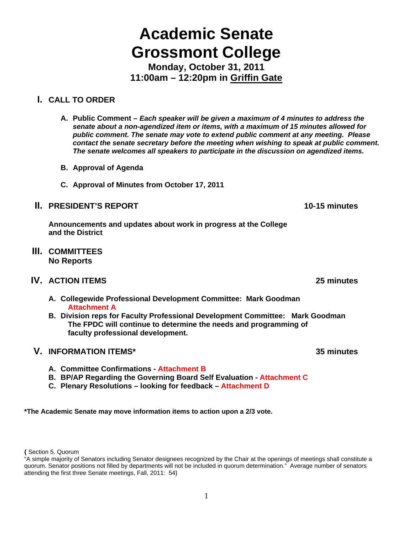# **Academic Senate Grossmont College**

**Monday, October 31, 2011 11:00am – 12:20pm in Griffin Gate** 

## **I. CALL TO ORDER**

- **A. Public Comment** *Each speaker will be given a maximum of 4 minutes to address the senate about a non-agendized item or items, with a maximum of 15 minutes allowed for public comment. The senate may vote to extend public comment at any meeting. Please contact the senate secretary before the meeting when wishing to speak at public comment. The senate welcomes all speakers to participate in the discussion on agendized items.*
- **B. Approval of Agenda**
- **C. Approval of Minutes from October 17, 2011**

## **II. PRESIDENT'S REPORT 10-15 minutes**

**Announcements and updates about work in progress at the College and the District** 

**III. COMMITTEES No Reports** 

## **IV. ACTION ITEMS 25 minutes**

- **A. Collegewide Professional Development Committee: Mark Goodman Attachment A**
- **B. Division reps for Faculty Professional Development Committee: Mark Goodman The FPDC will continue to determine the needs and programming of faculty professional development.**

### **V. INFORMATION ITEMS\* 35 minutes**

- **A. Committee Confirmations Attachment B**
- **B. BP/AP Regarding the Governing Board Self Evaluation Attachment C**
- **C. Plenary Resolutions looking for feedback Attachment D**

**\*The Academic Senate may move information items to action upon a 2/3 vote.** 

**<sup>{</sup>** Section 5. Quorum

<sup>&</sup>quot;A simple majority of Senators including Senator designees recognized by the Chair at the openings of meetings shall constitute a quorum. Senator positions not filled by departments will not be included in quorum determination." Average number of senators attending the first three Senate meetings, Fall, 2011: 54}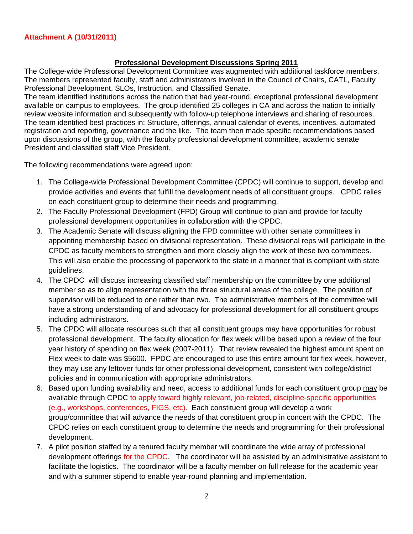#### **Attachment A (10/31/2011)**

#### **Professional Development Discussions Spring 2011**

The College-wide Professional Development Committee was augmented with additional taskforce members. The members represented faculty, staff and administrators involved in the Council of Chairs, CATL, Faculty Professional Development, SLOs, Instruction, and Classified Senate.

The team identified institutions across the nation that had year-round, exceptional professional development available on campus to employees. The group identified 25 colleges in CA and across the nation to initially review website information and subsequently with follow-up telephone interviews and sharing of resources. The team identified best practices in: Structure, offerings, annual calendar of events, incentives, automated registration and reporting, governance and the like. The team then made specific recommendations based upon discussions of the group, with the faculty professional development committee, academic senate President and classified staff Vice President.

The following recommendations were agreed upon:

- 1. The College-wide Professional Development Committee (CPDC) will continue to support, develop and provide activities and events that fulfill the development needs of all constituent groups. CPDC relies on each constituent group to determine their needs and programming.
- 2. The Faculty Professional Development (FPD) Group will continue to plan and provide for faculty professional development opportunities in collaboration with the CPDC.
- 3. The Academic Senate will discuss aligning the FPD committee with other senate committees in appointing membership based on divisional representation. These divisional reps will participate in the CPDC as faculty members to strengthen and more closely align the work of these two committees. This will also enable the processing of paperwork to the state in a manner that is compliant with state guidelines.
- 4. The CPDC will discuss increasing classified staff membership on the committee by one additional member so as to align representation with the three structural areas of the college. The position of supervisor will be reduced to one rather than two. The administrative members of the committee will have a strong understanding of and advocacy for professional development for all constituent groups including administrators.
- 5. The CPDC will allocate resources such that all constituent groups may have opportunities for robust professional development. The faculty allocation for flex week will be based upon a review of the four year history of spending on flex week (2007-2011). That review revealed the highest amount spent on Flex week to date was \$5600. FPDC are encouraged to use this entire amount for flex week, however, they may use any leftover funds for other professional development, consistent with college/district policies and in communication with appropriate administrators.
- 6. Based upon funding availability and need, access to additional funds for each constituent group may be available through CPDC to apply toward highly relevant, job-related, discipline-specific opportunities (e.g., workshops, conferences, FIGS, etc). Each constituent group will develop a work group/committee that will advance the needs of that constituent group in concert with the CPDC. The CPDC relies on each constituent group to determine the needs and programming for their professional development.
- 7. A pilot position staffed by a tenured faculty member will coordinate the wide array of professional development offerings for the CPDC. The coordinator will be assisted by an administrative assistant to facilitate the logistics. The coordinator will be a faculty member on full release for the academic year and with a summer stipend to enable year-round planning and implementation.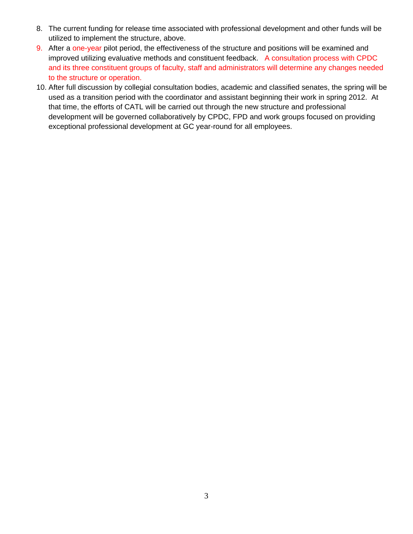- 8. The current funding for release time associated with professional development and other funds will be utilized to implement the structure, above.
- 9. After a one-year pilot period, the effectiveness of the structure and positions will be examined and improved utilizing evaluative methods and constituent feedback. A consultation process with CPDC and its three constituent groups of faculty, staff and administrators will determine any changes needed to the structure or operation.
- 10. After full discussion by collegial consultation bodies, academic and classified senates, the spring will be used as a transition period with the coordinator and assistant beginning their work in spring 2012. At that time, the efforts of CATL will be carried out through the new structure and professional development will be governed collaboratively by CPDC, FPD and work groups focused on providing exceptional professional development at GC year-round for all employees.